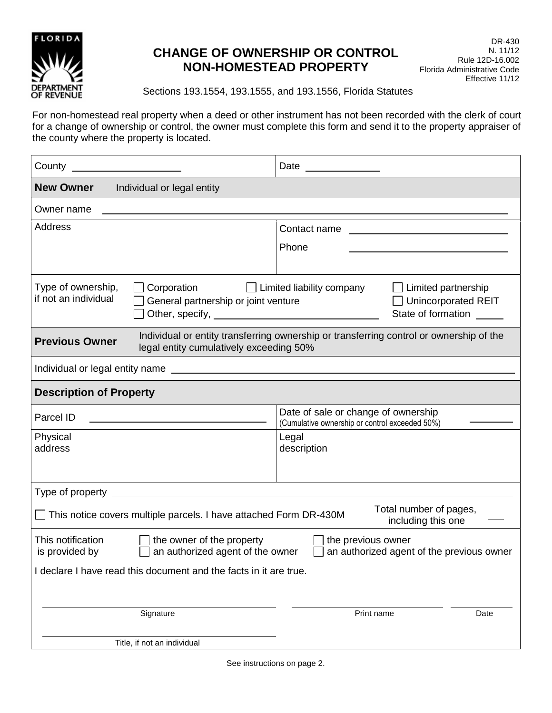

# **CHANGE OF OWNERSHIP OR CONTROL NON-HOMESTEAD PROPERTY**

DR-430 N. 11/12 Rule 12D-16.002 Florida Administrative Code Effective 11/12

Sections 193.1554, 193.1555, and 193.1556, Florida Statutes

For non-homestead real property when a deed or other instrument has not been recorded with the clerk of court for a change of ownership or control, the owner must complete this form and send it to the property appraiser of the county where the property is located.

| County _<br><u> 1980 - Jan Barbara Barbara, politik e</u>                                                                                                                                                                                    | Date _____________                                                                                                                             |
|----------------------------------------------------------------------------------------------------------------------------------------------------------------------------------------------------------------------------------------------|------------------------------------------------------------------------------------------------------------------------------------------------|
| <b>New Owner</b><br>Individual or legal entity                                                                                                                                                                                               |                                                                                                                                                |
| Owner name                                                                                                                                                                                                                                   |                                                                                                                                                |
| <b>Address</b>                                                                                                                                                                                                                               | Contact name<br><u> 1989 - Johann Harry Harry Harry Harry Harry Harry Harry Harry Harry Harry Harry Harry Harry Harry Harry Harry</u><br>Phone |
| Type of ownership,<br>Corporation<br>if not an individual<br>General partnership or joint venture                                                                                                                                            | $\Box$ Limited liability company<br>$\Box$ Limited partnership<br><b>Unincorporated REIT</b><br>State of formation                             |
| Individual or entity transferring ownership or transferring control or ownership of the<br><b>Previous Owner</b><br>legal entity cumulatively exceeding 50%                                                                                  |                                                                                                                                                |
|                                                                                                                                                                                                                                              |                                                                                                                                                |
| <b>Description of Property</b>                                                                                                                                                                                                               |                                                                                                                                                |
| Parcel ID                                                                                                                                                                                                                                    | Date of sale or change of ownership<br>(Cumulative ownership or control exceeded 50%)                                                          |
| Physical<br>address                                                                                                                                                                                                                          | Legal<br>description                                                                                                                           |
| <u> 1980 - Jan James James Barbara, politik eta politikaria (h. 1980).</u><br>Type of property _                                                                                                                                             |                                                                                                                                                |
| Total number of pages,<br>$\Box$ This notice covers multiple parcels. I have attached Form DR-430M<br>including this one                                                                                                                     |                                                                                                                                                |
| This notification<br>the owner of the property<br>the previous owner<br>an authorized agent of the owner<br>an authorized agent of the previous owner<br>is provided by<br>I declare I have read this document and the facts in it are true. |                                                                                                                                                |
| Signature                                                                                                                                                                                                                                    | Print name<br>Date                                                                                                                             |
| Title, if not an individual                                                                                                                                                                                                                  |                                                                                                                                                |

See instructions on page 2.